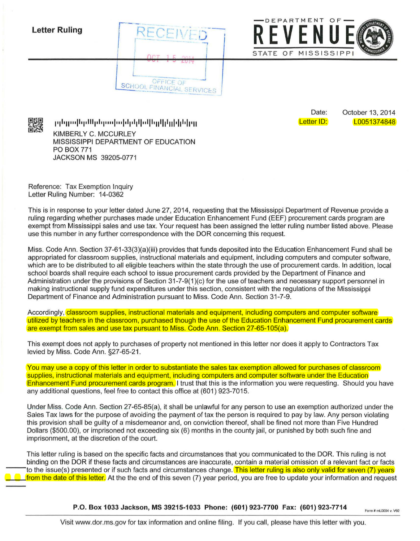



Date: Letter ID: October 13, 2014 L0051374848

**l111 1ll <sup>111</sup> <sup>11</sup> 1111111 111l1111 l111 l111 11llllllll 1lllllllll 111 <sup>11</sup> <sup>11</sup> 111**  KIMBERLY C. MCCURLEY MISSISSIPPI DEPARTMENT OF EDUCATION PO BOX 771 JACKSON MS 39205-0771

Reference: Tax Exemption Inquiry Letter Ruling Number: 14-0362

This is in response to your letter dated June 27, 2014, requesting that the Mississippi Department of Revenue provide a ruling regarding whether purchases made under Education Enhancement Fund (EEF) procurement cards program are exempt from Mississippi sales and use tax. Your request has been assigned the letter ruling number listed above. Please use this number in any further correspondence with the DOR concerning this request.

Miss. Code Ann. Section 37-61-33(3)(a)(iii) provides that funds deposited into the Education Enhancement Fund shall be appropriated for classroom supplies, instructional materials and equipment, including computers and computer software, which are to be distributed to all eligible teachers within the state through the use of procurement cards. In addition, local school boards shall require each school to issue procurement cards provided by the Department of Finance and Administration under the provisions of Section 31-7-9(1 )(c) for the use of teachers and necessary support personnel in making instructional supply fund expenditures under this section, consistent with the regulations of the Mississippi Department of Finance and Administration pursuant to Miss. Code Ann. Section 31-7-9.

Accordingly, classroom supplies, instructional materials and equipment, including computers and computer software utilized by teachers in the classroom, purchased though the use of the Education Enhancement Fund procurement cards are exempt from sales and use tax pursuant to Miss. Code Ann. Section 27-65-105(a).

This exempt does not apply to purchases of property not mentioned in this letter nor does it apply to Contractors Tax levied by Miss. Code Ann. §27-65-21.

You may use a copy of this letter in order to substantiate the sales tax exemption allowed for purchases of classroom supplies, instructional materials and equipment, including computers and computer software under the Education Enhancement Fund procurement cards program. I trust that this is the information you were requesting. Should you have any additional questions, feel free to contact this office at (601) 923-7015.

Under Miss. Code Ann. Section 27-65-85(a), it shall be unlawful for any person to use an exemption authorized under the Sales Tax laws for the purpose of avoiding the payment of tax the person is required to pay by law. Any person violating this provision shall be guilty of a misdemeanor and, on conviction thereof, shall be fined not more than Five Hundred Dollars (\$500.00), or imprisoned not exceeding six (6) months in the county jail, or punished by both such fine and imprisonment, at the discretion of the court.

This letter ruling is based on the specific facts and circumstances that you communicated to the DOR. This ruling is not binding on the DOR if these facts and circumstances are inaccurate, contain a material omission of a relevant fact or facts to the issue(s) presented or if such facts and circumstances change. This letter ruling is also only valid for seven (7) years from the date of this letter. At the the end of this seven (7) year period, you are free to update your information and request

**P.O. Box 1033 Jackson, MS 39215-1033 Phone: (601) 923-7700 Fax: (601) 923-7714** Form# ml.0004 v. V92

Visit www.dor.ms.gov for tax information and online filing. If you call, please have this letter with you.